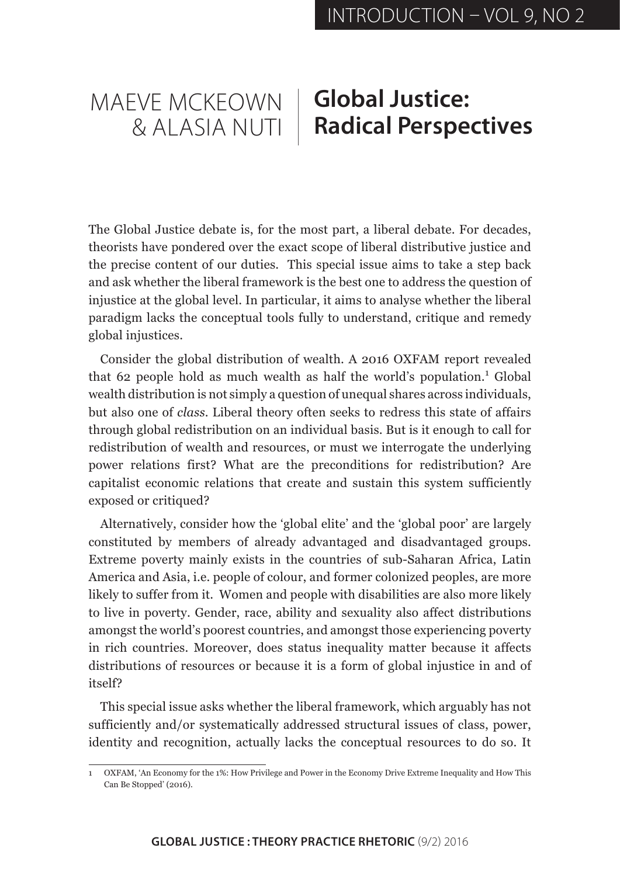## MAEVE MCKEOWN & ALASIA NUTI **Global Justice: Radical Perspectives**

The Global Justice debate is, for the most part, a liberal debate. For decades, theorists have pondered over the exact scope of liberal distributive justice and the precise content of our duties. This special issue aims to take a step back and ask whether the liberal framework is the best one to address the question of injustice at the global level. In particular, it aims to analyse whether the liberal paradigm lacks the conceptual tools fully to understand, critique and remedy global injustices.

Consider the global distribution of wealth. A 2016 OXFAM report revealed that 62 people hold as much wealth as half the world's population.<sup>1</sup> Global wealth distribution is not simply a question of unequal shares across individuals, but also one of *class*. Liberal theory often seeks to redress this state of affairs through global redistribution on an individual basis. But is it enough to call for redistribution of wealth and resources, or must we interrogate the underlying power relations first? What are the preconditions for redistribution? Are capitalist economic relations that create and sustain this system sufficiently exposed or critiqued?

Alternatively, consider how the 'global elite' and the 'global poor' are largely constituted by members of already advantaged and disadvantaged groups. Extreme poverty mainly exists in the countries of sub-Saharan Africa, Latin America and Asia, i.e. people of colour, and former colonized peoples, are more likely to suffer from it. Women and people with disabilities are also more likely to live in poverty. Gender, race, ability and sexuality also affect distributions amongst the world's poorest countries, and amongst those experiencing poverty in rich countries. Moreover, does status inequality matter because it affects distributions of resources or because it is a form of global injustice in and of itself?

This special issue asks whether the liberal framework, which arguably has not sufficiently and/or systematically addressed structural issues of class, power, identity and recognition, actually lacks the conceptual resources to do so. It

<sup>1</sup> OXFAM, 'An Economy for the 1%: How Privilege and Power in the Economy Drive Extreme Inequality and How This Can Be Stopped' (2016).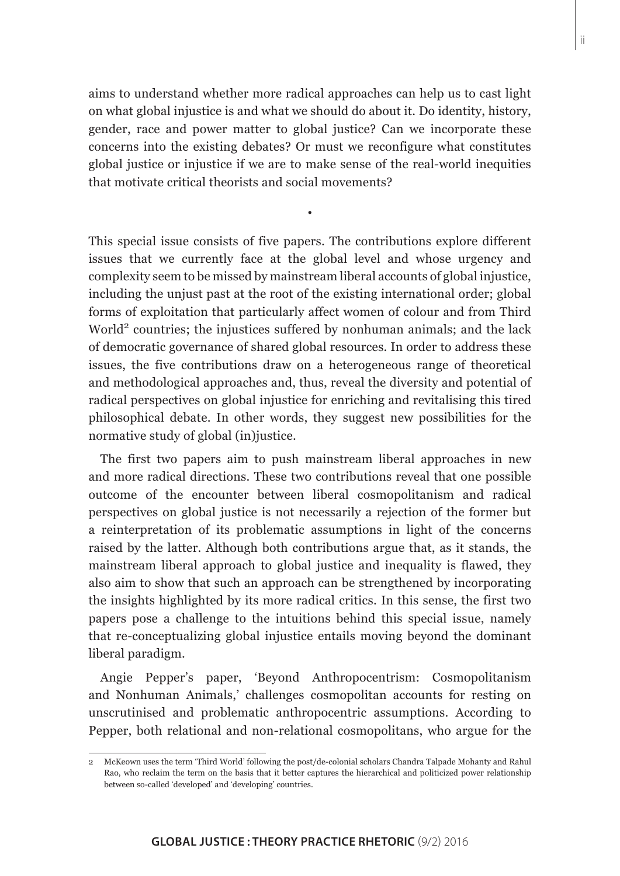aims to understand whether more radical approaches can help us to cast light on what global injustice is and what we should do about it. Do identity, history, gender, race and power matter to global justice? Can we incorporate these concerns into the existing debates? Or must we reconfigure what constitutes global justice or injustice if we are to make sense of the real-world inequities that motivate critical theorists and social movements?

•

This special issue consists of five papers. The contributions explore different issues that we currently face at the global level and whose urgency and complexity seem to be missed by mainstream liberal accounts of global injustice, including the unjust past at the root of the existing international order; global forms of exploitation that particularly affect women of colour and from Third World<sup>2</sup> countries; the injustices suffered by nonhuman animals; and the lack of democratic governance of shared global resources. In order to address these issues, the five contributions draw on a heterogeneous range of theoretical and methodological approaches and, thus, reveal the diversity and potential of radical perspectives on global injustice for enriching and revitalising this tired philosophical debate. In other words, they suggest new possibilities for the normative study of global (in)justice.

The first two papers aim to push mainstream liberal approaches in new and more radical directions. These two contributions reveal that one possible outcome of the encounter between liberal cosmopolitanism and radical perspectives on global justice is not necessarily a rejection of the former but a reinterpretation of its problematic assumptions in light of the concerns raised by the latter. Although both contributions argue that, as it stands, the mainstream liberal approach to global justice and inequality is flawed, they also aim to show that such an approach can be strengthened by incorporating the insights highlighted by its more radical critics. In this sense, the first two papers pose a challenge to the intuitions behind this special issue, namely that re-conceptualizing global injustice entails moving beyond the dominant liberal paradigm.

Angie Pepper's paper, 'Beyond Anthropocentrism: Cosmopolitanism and Nonhuman Animals,' challenges cosmopolitan accounts for resting on unscrutinised and problematic anthropocentric assumptions. According to Pepper, both relational and non-relational cosmopolitans, who argue for the

<sup>2</sup> McKeown uses the term 'Third World' following the post/de-colonial scholars Chandra Talpade Mohanty and Rahul Rao, who reclaim the term on the basis that it better captures the hierarchical and politicized power relationship between so-called 'developed' and 'developing' countries.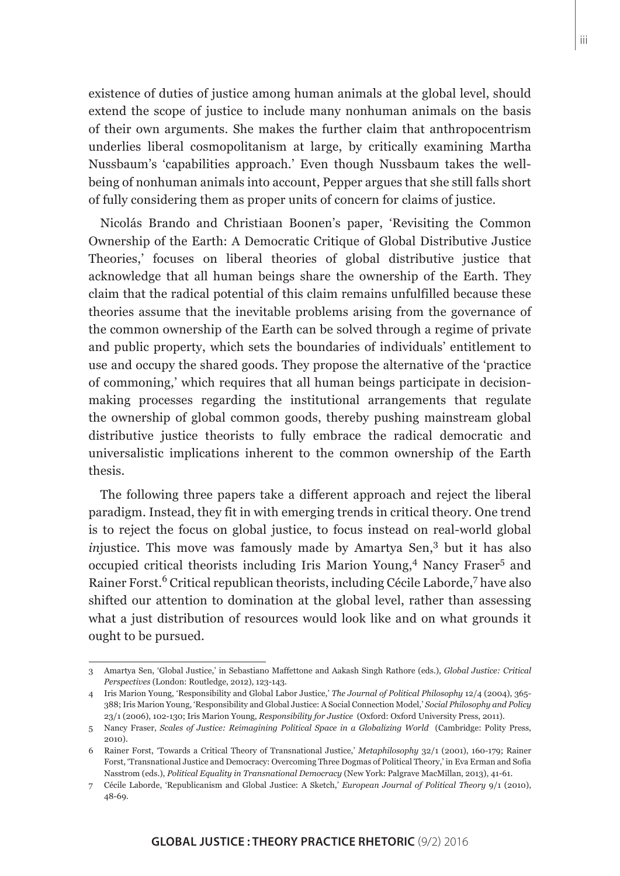existence of duties of justice among human animals at the global level, should extend the scope of justice to include many nonhuman animals on the basis of their own arguments. She makes the further claim that anthropocentrism underlies liberal cosmopolitanism at large, by critically examining Martha Nussbaum's 'capabilities approach.' Even though Nussbaum takes the wellbeing of nonhuman animals into account, Pepper argues that she still falls short of fully considering them as proper units of concern for claims of justice.

Nicolás Brando and Christiaan Boonen's paper, 'Revisiting the Common Ownership of the Earth: A Democratic Critique of Global Distributive Justice Theories,' focuses on liberal theories of global distributive justice that acknowledge that all human beings share the ownership of the Earth. They claim that the radical potential of this claim remains unfulfilled because these theories assume that the inevitable problems arising from the governance of the common ownership of the Earth can be solved through a regime of private and public property, which sets the boundaries of individuals' entitlement to use and occupy the shared goods. They propose the alternative of the 'practice of commoning,' which requires that all human beings participate in decisionmaking processes regarding the institutional arrangements that regulate the ownership of global common goods, thereby pushing mainstream global distributive justice theorists to fully embrace the radical democratic and universalistic implications inherent to the common ownership of the Earth thesis.

The following three papers take a different approach and reject the liberal paradigm. Instead, they fit in with emerging trends in critical theory. One trend is to reject the focus on global justice, to focus instead on real-world global *in*justice. This move was famously made by Amartya Sen,<sup>3</sup> but it has also occupied critical theorists including Iris Marion Young,<sup>4</sup> Nancy Fraser<sup>5</sup> and Rainer Forst.<sup>6</sup> Critical republican theorists, including Cécile Laborde,<sup>7</sup> have also shifted our attention to domination at the global level, rather than assessing what a just distribution of resources would look like and on what grounds it ought to be pursued.

<sup>3</sup> Amartya Sen, 'Global Justice,' in Sebastiano Maffettone and Aakash Singh Rathore (eds.), *Global Justice: Critical Perspectives* (London: Routledge, 2012), 123-143.

<sup>4</sup> Iris Marion Young, 'Responsibility and Global Labor Justice,' *The Journal of Political Philosophy* 12/4 (2004), 365- 388; Iris Marion Young, 'Responsibility and Global Justice: A Social Connection Model,' *Social Philosophy and Policy* 23/1 (2006), 102-130; Iris Marion Young, *Responsibility for Justice* (Oxford: Oxford University Press, 2011).

<sup>5</sup> Nancy Fraser, *Scales of Justice: Reimagining Political Space in a Globalizing World* (Cambridge: Polity Press, 2010).

<sup>6</sup> Rainer Forst, 'Towards a Critical Theory of Transnational Justice,' *Metaphilosophy* 32/1 (2001), 160-179; Rainer Forst, 'Transnational Justice and Democracy: Overcoming Three Dogmas of Political Theory,' in Eva Erman and Sofia Nasstrom (eds.), *Political Equality in Transnational Democracy* (New York: Palgrave MacMillan, 2013), 41-61.

<sup>7</sup> Cécile Laborde, 'Republicanism and Global Justice: A Sketch,' *European Journal of Political Theory* 9/1 (2010), 48-69.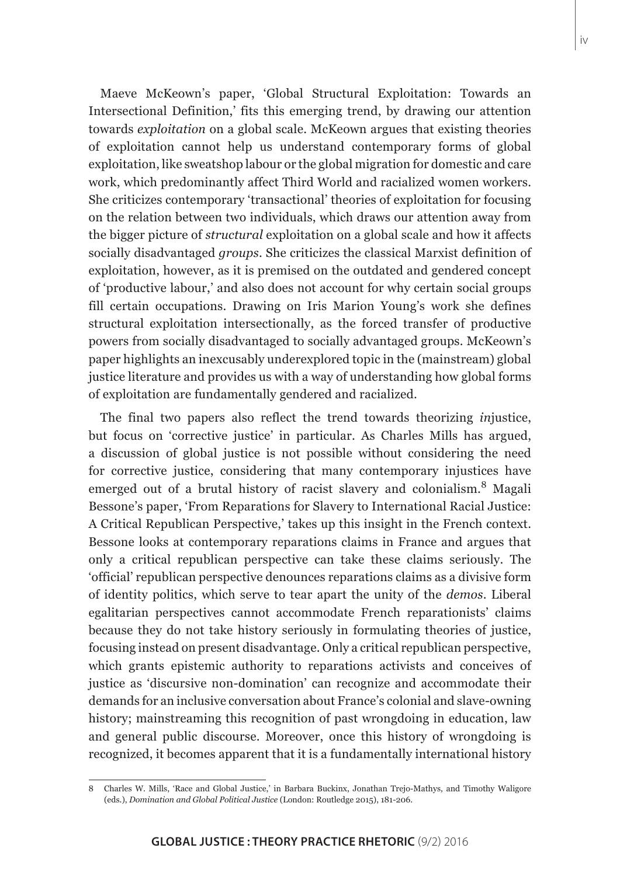Maeve McKeown's paper, 'Global Structural Exploitation: Towards an Intersectional Definition,' fits this emerging trend, by drawing our attention towards *exploitation* on a global scale. McKeown argues that existing theories of exploitation cannot help us understand contemporary forms of global exploitation, like sweatshop labour or the global migration for domestic and care work, which predominantly affect Third World and racialized women workers. She criticizes contemporary 'transactional' theories of exploitation for focusing on the relation between two individuals, which draws our attention away from the bigger picture of *structural* exploitation on a global scale and how it affects socially disadvantaged *groups*. She criticizes the classical Marxist definition of exploitation, however, as it is premised on the outdated and gendered concept of 'productive labour,' and also does not account for why certain social groups fill certain occupations. Drawing on Iris Marion Young's work she defines structural exploitation intersectionally, as the forced transfer of productive powers from socially disadvantaged to socially advantaged groups. McKeown's paper highlights an inexcusably underexplored topic in the (mainstream) global justice literature and provides us with a way of understanding how global forms of exploitation are fundamentally gendered and racialized.

The final two papers also reflect the trend towards theorizing *in*justice, but focus on 'corrective justice' in particular. As Charles Mills has argued, a discussion of global justice is not possible without considering the need for corrective justice, considering that many contemporary injustices have emerged out of a brutal history of racist slavery and colonialism.8 Magali Bessone's paper, 'From Reparations for Slavery to International Racial Justice: A Critical Republican Perspective,' takes up this insight in the French context. Bessone looks at contemporary reparations claims in France and argues that only a critical republican perspective can take these claims seriously. The 'official' republican perspective denounces reparations claims as a divisive form of identity politics, which serve to tear apart the unity of the *demos*. Liberal egalitarian perspectives cannot accommodate French reparationists' claims because they do not take history seriously in formulating theories of justice, focusing instead on present disadvantage. Only a critical republican perspective, which grants epistemic authority to reparations activists and conceives of justice as 'discursive non-domination' can recognize and accommodate their demands for an inclusive conversation about France's colonial and slave-owning history; mainstreaming this recognition of past wrongdoing in education, law and general public discourse. Moreover, once this history of wrongdoing is recognized, it becomes apparent that it is a fundamentally international history

<sup>8</sup> Charles W. Mills, 'Race and Global Justice,' in Barbara Buckinx, Jonathan Trejo-Mathys, and Timothy Waligore (eds.), *Domination and Global Political Justice* (London: Routledge 2015), 181-206.